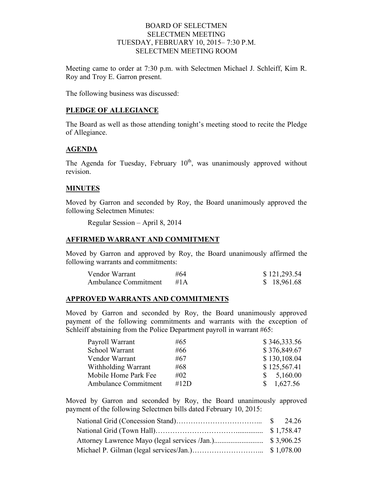### BOARD OF SELECTMEN SELECTMEN MEETING TUESDAY, FEBRUARY 10, 2015– 7:30 P.M. SELECTMEN MEETING ROOM

Meeting came to order at 7:30 p.m. with Selectmen Michael J. Schleiff, Kim R. Roy and Troy E. Garron present.

The following business was discussed:

### **PLEDGE OF ALLEGIANCE**

The Board as well as those attending tonight's meeting stood to recite the Pledge of Allegiance.

### **AGENDA**

The Agenda for Tuesday, February  $10^{th}$ , was unanimously approved without revision.

### **MINUTES**

Moved by Garron and seconded by Roy, the Board unanimously approved the following Selectmen Minutes:

Regular Session – April 8, 2014

### **AFFIRMED WARRANT AND COMMITMENT**

Moved by Garron and approved by Roy, the Board unanimously affirmed the following warrants and commitments:

| Vendor Warrant              | #64    | \$121,293.54 |
|-----------------------------|--------|--------------|
| <b>Ambulance Commitment</b> | #1 $A$ | \$18,961.68  |

### **APPROVED WARRANTS AND COMMITMENTS**

Moved by Garron and seconded by Roy, the Board unanimously approved payment of the following commitments and warrants with the exception of Schleiff abstaining from the Police Department payroll in warrant #65:

| Payroll Warrant      | #65    | \$346,333.56   |
|----------------------|--------|----------------|
| School Warrant       | #66    | \$376,849.67   |
| Vendor Warrant       | #67    | \$130,108.04   |
| Withholding Warrant  | #68    | \$125,567.41   |
| Mobile Home Park Fee | $\#02$ | 5,160.00<br>S. |
| Ambulance Commitment | #12D   | 1,627.56       |

Moved by Garron and seconded by Roy, the Board unanimously approved payment of the following Selectmen bills dated February 10, 2015: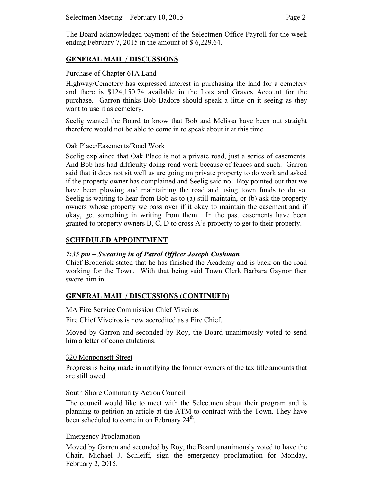The Board acknowledged payment of the Selectmen Office Payroll for the week ending February 7, 2015 in the amount of \$ 6,229.64.

## **GENERAL MAIL / DISCUSSIONS**

### Purchase of Chapter 61A Land

Highway/Cemetery has expressed interest in purchasing the land for a cemetery and there is \$124,150.74 available in the Lots and Graves Account for the purchase. Garron thinks Bob Badore should speak a little on it seeing as they want to use it as cemetery.

Seelig wanted the Board to know that Bob and Melissa have been out straight therefore would not be able to come in to speak about it at this time.

### Oak Place/Easements/Road Work

Seelig explained that Oak Place is not a private road, just a series of easements. And Bob has had difficulty doing road work because of fences and such. Garron said that it does not sit well us are going on private property to do work and asked if the property owner has complained and Seelig said no. Roy pointed out that we have been plowing and maintaining the road and using town funds to do so. Seelig is waiting to hear from Bob as to (a) still maintain, or (b) ask the property owners whose property we pass over if it okay to maintain the easement and if okay, get something in writing from them. In the past easements have been granted to property owners B, C, D to cross A's property to get to their property.

## **SCHEDULED APPOINTMENT**

## *7:35 pm – Swearing in of Patrol Officer Joseph Cushman*

Chief Broderick stated that he has finished the Academy and is back on the road working for the Town. With that being said Town Clerk Barbara Gaynor then swore him in.

## **GENERAL MAIL / DISCUSSIONS (CONTINUED)**

### MA Fire Service Commission Chief Viveiros

Fire Chief Viveiros is now accredited as a Fire Chief.

Moved by Garron and seconded by Roy, the Board unanimously voted to send him a letter of congratulations.

### 320 Monponsett Street

Progress is being made in notifying the former owners of the tax title amounts that are still owed.

### South Shore Community Action Council

The council would like to meet with the Selectmen about their program and is planning to petition an article at the ATM to contract with the Town. They have been scheduled to come in on February  $24<sup>th</sup>$ .

### Emergency Proclamation

Moved by Garron and seconded by Roy, the Board unanimously voted to have the Chair, Michael J. Schleiff, sign the emergency proclamation for Monday, February 2, 2015.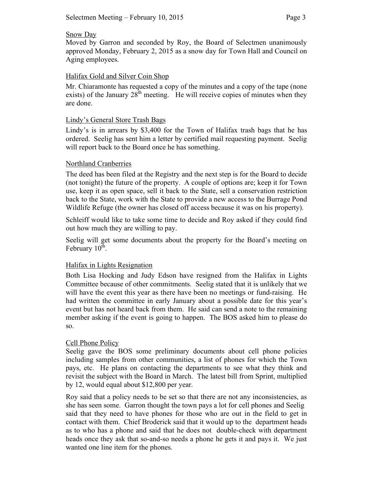### Snow Day

Moved by Garron and seconded by Roy, the Board of Selectmen unanimously approved Monday, February 2, 2015 as a snow day for Town Hall and Council on Aging employees.

### Halifax Gold and Silver Coin Shop

Mr. Chiaramonte has requested a copy of the minutes and a copy of the tape (none exists) of the January  $28<sup>th</sup>$  meeting. He will receive copies of minutes when they are done.

### Lindy's General Store Trash Bags

Lindy's is in arrears by \$3,400 for the Town of Halifax trash bags that he has ordered. Seelig has sent him a letter by certified mail requesting payment. Seelig will report back to the Board once he has something.

### Northland Cranberries

The deed has been filed at the Registry and the next step is for the Board to decide (not tonight) the future of the property. A couple of options are; keep it for Town use, keep it as open space, sell it back to the State, sell a conservation restriction back to the State, work with the State to provide a new access to the Burrage Pond Wildlife Refuge (the owner has closed off access because it was on his property).

Schleiff would like to take some time to decide and Roy asked if they could find out how much they are willing to pay.

Seelig will get some documents about the property for the Board's meeting on February  $10^{th}$ .

### Halifax in Lights Resignation

Both Lisa Hocking and Judy Edson have resigned from the Halifax in Lights Committee because of other commitments. Seelig stated that it is unlikely that we will have the event this year as there have been no meetings or fund-raising. He had written the committee in early January about a possible date for this year's event but has not heard back from them. He said can send a note to the remaining member asking if the event is going to happen. The BOS asked him to please do so.

### Cell Phone Policy

Seelig gave the BOS some preliminary documents about cell phone policies including samples from other communities, a list of phones for which the Town pays, etc. He plans on contacting the departments to see what they think and revisit the subject with the Board in March. The latest bill from Sprint, multiplied by 12, would equal about \$12,800 per year.

Roy said that a policy needs to be set so that there are not any inconsistencies, as she has seen some. Garron thought the town pays a lot for cell phones and Seelig said that they need to have phones for those who are out in the field to get in contact with them. Chief Broderick said that it would up to the department heads as to who has a phone and said that he does not double-check with department heads once they ask that so-and-so needs a phone he gets it and pays it. We just wanted one line item for the phones.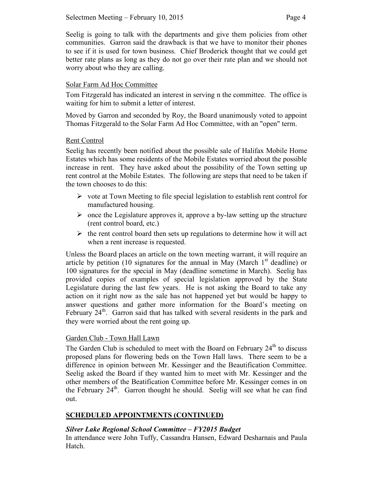Seelig is going to talk with the departments and give them policies from other communities. Garron said the drawback is that we have to monitor their phones to see if it is used for town business. Chief Broderick thought that we could get better rate plans as long as they do not go over their rate plan and we should not worry about who they are calling.

## Solar Farm Ad Hoc Committee

Tom Fitzgerald has indicated an interest in serving n the committee. The office is waiting for him to submit a letter of interest.

Moved by Garron and seconded by Roy, the Board unanimously voted to appoint Thomas Fitzgerald to the Solar Farm Ad Hoc Committee, with an "open" term.

## Rent Control

Seelig has recently been notified about the possible sale of Halifax Mobile Home Estates which has some residents of the Mobile Estates worried about the possible increase in rent. They have asked about the possibility of the Town setting up rent control at the Mobile Estates. The following are steps that need to be taken if the town chooses to do this:

- $\triangleright$  vote at Town Meeting to file special legislation to establish rent control for manufactured housing.
- $\triangleright$  once the Legislature approves it, approve a by-law setting up the structure (rent control board, etc.)
- $\triangleright$  the rent control board then sets up regulations to determine how it will act when a rent increase is requested.

Unless the Board places an article on the town meeting warrant, it will require an article by petition (10 signatures for the annual in May (March  $1<sup>st</sup>$  deadline) or 100 signatures for the special in May (deadline sometime in March). Seelig has provided copies of examples of special legislation approved by the State Legislature during the last few years. He is not asking the Board to take any action on it right now as the sale has not happened yet but would be happy to answer questions and gather more information for the Board's meeting on February  $24<sup>th</sup>$ . Garron said that has talked with several residents in the park and they were worried about the rent going up.

## Garden Club - Town Hall Lawn

The Garden Club is scheduled to meet with the Board on February  $24<sup>th</sup>$  to discuss proposed plans for flowering beds on the Town Hall laws. There seem to be a difference in opinion between Mr. Kessinger and the Beautification Committee. Seelig asked the Board if they wanted him to meet with Mr. Kessinger and the other members of the Beatification Committee before Mr. Kessinger comes in on the February  $24<sup>th</sup>$ . Garron thought he should. Seelig will see what he can find out.

# **SCHEDULED APPOINTMENTS (CONTINUED)**

## *Silver Lake Regional School Committee – FY2015 Budget*

In attendance were John Tuffy, Cassandra Hansen, Edward Desharnais and Paula Hatch.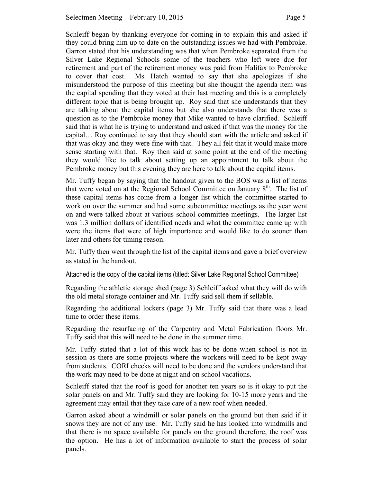Schleiff began by thanking everyone for coming in to explain this and asked if they could bring him up to date on the outstanding issues we had with Pembroke. Garron stated that his understanding was that when Pembroke separated from the Silver Lake Regional Schools some of the teachers who left were due for retirement and part of the retirement money was paid from Halifax to Pembroke to cover that cost. Ms. Hatch wanted to say that she apologizes if she misunderstood the purpose of this meeting but she thought the agenda item was the capital spending that they voted at their last meeting and this is a completely different topic that is being brought up. Roy said that she understands that they are talking about the capital items but she also understands that there was a question as to the Pembroke money that Mike wanted to have clarified. Schleiff said that is what he is trying to understand and asked if that was the money for the capital… Roy continued to say that they should start with the article and asked if that was okay and they were fine with that. They all felt that it would make more sense starting with that. Roy then said at some point at the end of the meeting they would like to talk about setting up an appointment to talk about the Pembroke money but this evening they are here to talk about the capital items.

Mr. Tuffy began by saying that the handout given to the BOS was a list of items that were voted on at the Regional School Committee on January  $8<sup>th</sup>$ . The list of these capital items has come from a longer list which the committee started to work on over the summer and had some subcommittee meetings as the year went on and were talked about at various school committee meetings. The larger list was 1.3 million dollars of identified needs and what the committee came up with were the items that were of high importance and would like to do sooner than later and others for timing reason.

Mr. Tuffy then went through the list of the capital items and gave a brief overview as stated in the handout.

Attached is the copy of the capital items (titled: Silver Lake Regional School Committee)

Regarding the athletic storage shed (page 3) Schleiff asked what they will do with the old metal storage container and Mr. Tuffy said sell them if sellable.

Regarding the additional lockers (page 3) Mr. Tuffy said that there was a lead time to order these items.

Regarding the resurfacing of the Carpentry and Metal Fabrication floors Mr. Tuffy said that this will need to be done in the summer time.

Mr. Tuffy stated that a lot of this work has to be done when school is not in session as there are some projects where the workers will need to be kept away from students. CORI checks will need to be done and the vendors understand that the work may need to be done at night and on school vacations.

Schleiff stated that the roof is good for another ten years so is it okay to put the solar panels on and Mr. Tuffy said they are looking for 10-15 more years and the agreement may entail that they take care of a new roof when needed.

Garron asked about a windmill or solar panels on the ground but then said if it snows they are not of any use. Mr. Tuffy said he has looked into windmills and that there is no space available for panels on the ground therefore, the roof was the option. He has a lot of information available to start the process of solar panels.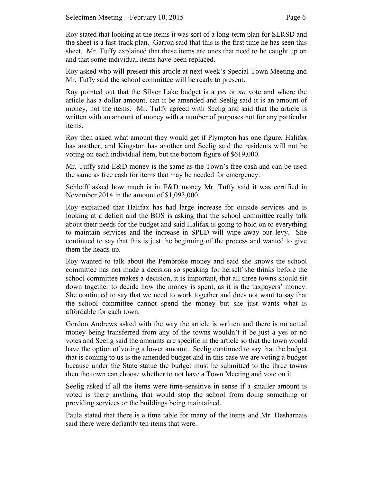Roy stated that looking at the items it was sort of a long-term plan for SLRSD and the sheet is a fast-track plan. Garron said that this is the first time he has seen this sheet. Mr. Tuffy explained that these items are ones that need to be caught up on and that some individual items have been replaced.

Roy asked who will present this article at next week's Special Town Meeting and Mr. Tuffy said the school committee will be ready to present.

Roy pointed out that the Silver Lake budget is a *yes* or *no* vote and where the article has a dollar amount, can it be amended and Seelig said it is an amount of money, not the items. Mr. Tuffy agreed with Seelig and said that the article is written with an amount of money with a number of purposes not for any particular items.

Roy then asked what amount they would get if Plympton has one figure, Halifax has another, and Kingston has another and Seelig said the residents will not be voting on each individual item, but the bottom figure of \$619,000.

Mr. Tuffy said E&D money is the same as the Town's free cash and can be used the same as free cash for items that may be needed for emergency.

Schleiff asked how much is in E&D money Mr. Tuffy said it was certified in November 2014 in the amount of \$1,093,000.

Roy explained that Halifax has had large increase for outside services and is looking at a deficit and the BOS is asking that the school committee really talk about their needs for the budget and said Halifax is going to hold on to everything to maintain services and the increase in SPED will wipe away our levy. She continued to say that this is just the beginning of the process and wanted to give them the heads up.

Roy wanted to talk about the Pembroke money and said she knows the school committee has not made a decision so speaking for herself she thinks before the school committee makes a decision, it is important, that all three towns should sit down together to decide how the money is spent, as it is the taxpayers' money. She continued to say that we need to work together and does not want to say that the school committee cannot spend the money but she just wants what is affordable for each town.

Gordon Andrews asked with the way the article is written and there is no actual money being transferred from any of the towns wouldn't it be just a yes or no votes and Seelig said the amounts are specific in the article so that the town would have the option of voting a lower amount. Seelig continued to say that the budget that is coming to us is the amended budget and in this case we are voting a budget because under the State statue the budget must be submitted to the three towns then the town can choose whether to not have a Town Meeting and vote on it.

Seelig asked if all the items were time-sensitive in sense if a smaller amount is voted is there anything that would stop the school from doing something or providing services or the buildings being maintained.

Paula stated that there is a time table for many of the items and Mr. Desharnais said there were defiantly ten items that were.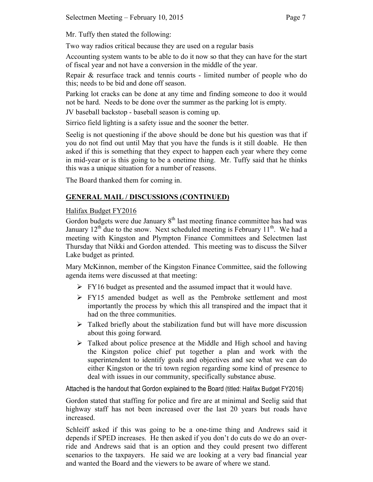Mr. Tuffy then stated the following:

Two way radios critical because they are used on a regular basis

Accounting system wants to be able to do it now so that they can have for the start of fiscal year and not have a conversion in the middle of the year.

Repair & resurface track and tennis courts - limited number of people who do this; needs to be bid and done off season.

Parking lot cracks can be done at any time and finding someone to doo it would not be hard. Needs to be done over the summer as the parking lot is empty.

JV baseball backstop - baseball season is coming up.

Sirrico field lighting is a safety issue and the sooner the better.

Seelig is not questioning if the above should be done but his question was that if you do not find out until May that you have the funds is it still doable. He then asked if this is something that they expect to happen each year where they come in mid-year or is this going to be a onetime thing. Mr. Tuffy said that he thinks this was a unique situation for a number of reasons.

The Board thanked them for coming in.

# **GENERAL MAIL / DISCUSSIONS (CONTINUED)**

## Halifax Budget FY2016

Gordon budgets were due January  $8<sup>th</sup>$  last meeting finance committee has had was January  $12<sup>th</sup>$  due to the snow. Next scheduled meeting is February  $11<sup>th</sup>$ . We had a meeting with Kingston and Plympton Finance Committees and Selectmen last Thursday that Nikki and Gordon attended. This meeting was to discuss the Silver Lake budget as printed.

Mary McKinnon, member of the Kingston Finance Committee, said the following agenda items were discussed at that meeting:

- $\triangleright$  FY16 budget as presented and the assumed impact that it would have.
- FY15 amended budget as well as the Pembroke settlement and most importantly the process by which this all transpired and the impact that it had on the three communities.
- $\triangleright$  Talked briefly about the stabilization fund but will have more discussion about this going forward.
- $\triangleright$  Talked about police presence at the Middle and High school and having the Kingston police chief put together a plan and work with the superintendent to identify goals and objectives and see what we can do either Kingston or the tri town region regarding some kind of presence to deal with issues in our community, specifically substance abuse.

Attached is the handout that Gordon explained to the Board (titled: Halifax Budget FY2016)

Gordon stated that staffing for police and fire are at minimal and Seelig said that highway staff has not been increased over the last 20 years but roads have increased.

Schleiff asked if this was going to be a one-time thing and Andrews said it depends if SPED increases. He then asked if you don't do cuts do we do an override and Andrews said that is an option and they could present two different scenarios to the taxpayers. He said we are looking at a very bad financial year and wanted the Board and the viewers to be aware of where we stand.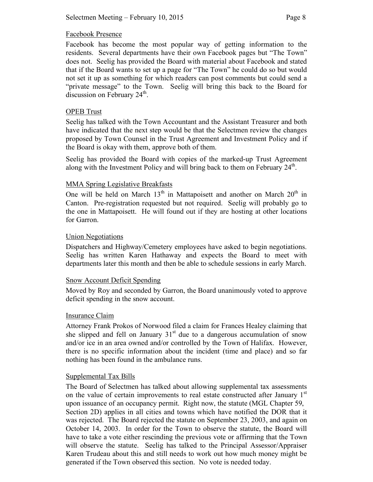### Facebook Presence

Facebook has become the most popular way of getting information to the residents. Several departments have their own Facebook pages but "The Town" does not. Seelig has provided the Board with material about Facebook and stated that if the Board wants to set up a page for "The Town" he could do so but would not set it up as something for which readers can post comments but could send a "private message" to the Town. Seelig will bring this back to the Board for discussion on February  $24<sup>th</sup>$ .

### OPEB Trust

Seelig has talked with the Town Accountant and the Assistant Treasurer and both have indicated that the next step would be that the Selectmen review the changes proposed by Town Counsel in the Trust Agreement and Investment Policy and if the Board is okay with them, approve both of them.

Seelig has provided the Board with copies of the marked-up Trust Agreement along with the Investment Policy and will bring back to them on February 24<sup>th</sup>.

### MMA Spring Legislative Breakfasts

One will be held on March  $13<sup>th</sup>$  in Mattapoisett and another on March  $20<sup>th</sup>$  in Canton. Pre-registration requested but not required. Seelig will probably go to the one in Mattapoisett. He will found out if they are hosting at other locations for Garron.

### Union Negotiations

Dispatchers and Highway/Cemetery employees have asked to begin negotiations. Seelig has written Karen Hathaway and expects the Board to meet with departments later this month and then be able to schedule sessions in early March.

### Snow Account Deficit Spending

Moved by Roy and seconded by Garron, the Board unanimously voted to approve deficit spending in the snow account.

### Insurance Claim

Attorney Frank Prokos of Norwood filed a claim for Frances Healey claiming that she slipped and fell on January  $31<sup>st</sup>$  due to a dangerous accumulation of snow and/or ice in an area owned and/or controlled by the Town of Halifax. However, there is no specific information about the incident (time and place) and so far nothing has been found in the ambulance runs.

### Supplemental Tax Bills

The Board of Selectmen has talked about allowing supplemental tax assessments on the value of certain improvements to real estate constructed after January 1<sup>st</sup> upon issuance of an occupancy permit. Right now, the statute (MGL Chapter 59, Section 2D) applies in all cities and towns which have notified the DOR that it was rejected. The Board rejected the statute on September 23, 2003, and again on October 14, 2003. In order for the Town to observe the statute, the Board will have to take a vote either rescinding the previous vote or affirming that the Town will observe the statute. Seelig has talked to the Principal Assessor/Appraiser Karen Trudeau about this and still needs to work out how much money might be generated if the Town observed this section. No vote is needed today.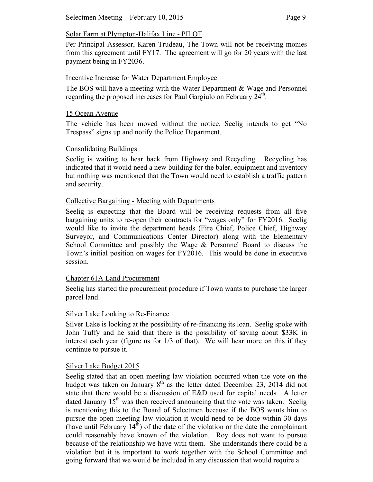Per Principal Assessor, Karen Trudeau, The Town will not be receiving monies from this agreement until FY17. The agreement will go for 20 years with the last payment being in FY2036.

## Incentive Increase for Water Department Employee

The BOS will have a meeting with the Water Department & Wage and Personnel regarding the proposed increases for Paul Gargiulo on February 24<sup>th</sup>.

### 15 Ocean Avenue

The vehicle has been moved without the notice. Seelig intends to get "No Trespass" signs up and notify the Police Department.

## Consolidating Buildings

Seelig is waiting to hear back from Highway and Recycling. Recycling has indicated that it would need a new building for the baler, equipment and inventory but nothing was mentioned that the Town would need to establish a traffic pattern and security.

## Collective Bargaining - Meeting with Departments

Seelig is expecting that the Board will be receiving requests from all five bargaining units to re-open their contracts for "wages only" for FY2016. Seelig would like to invite the department heads (Fire Chief, Police Chief, Highway Surveyor, and Communications Center Director) along with the Elementary School Committee and possibly the Wage & Personnel Board to discuss the Town's initial position on wages for FY2016. This would be done in executive session.

## Chapter 61A Land Procurement

Seelig has started the procurement procedure if Town wants to purchase the larger parcel land.

## Silver Lake Looking to Re-Finance

Silver Lake is looking at the possibility of re-financing its loan. Seelig spoke with John Tuffy and he said that there is the possibility of saving about \$33K in interest each year (figure us for 1/3 of that). We will hear more on this if they continue to pursue it.

## Silver Lake Budget 2015

Seelig stated that an open meeting law violation occurred when the vote on the budget was taken on January  $8<sup>th</sup>$  as the letter dated December 23, 2014 did not state that there would be a discussion of E&D used for capital needs. A letter dated January  $15<sup>th</sup>$  was then received announcing that the vote was taken. Seelig is mentioning this to the Board of Selectmen because if the BOS wants him to pursue the open meeting law violation it would need to be done within 30 days (have until February  $14<sup>th</sup>$ ) of the date of the violation or the date the complainant could reasonably have known of the violation. Roy does not want to pursue because of the relationship we have with them. She understands there could be a violation but it is important to work together with the School Committee and going forward that we would be included in any discussion that would require a